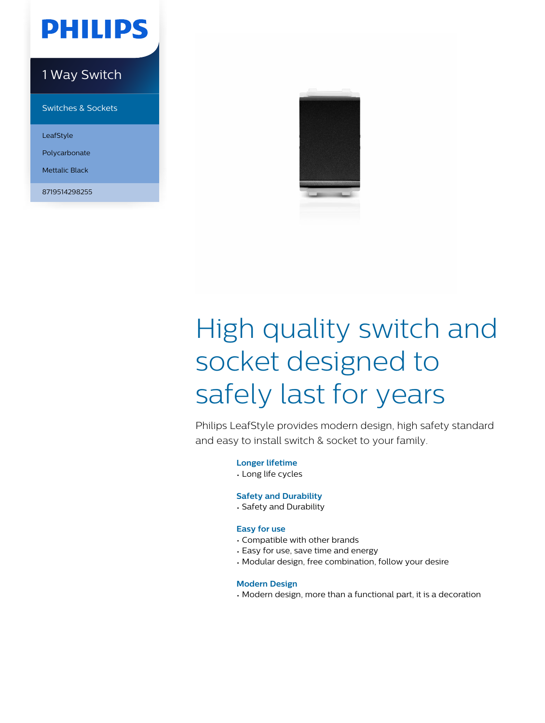

### 1 Way Switch

Switches & Sockets

LeafStyle

Polycarbonate

Mettalic Black

8719514298255



# High quality switch and socket designed to safely last for years

Philips LeafStyle provides modern design, high safety standard and easy to install switch & socket to your family.

**Longer lifetime**

• Long life cycles

#### **Safety and Durability**

• Safety and Durability

#### **Easy for use**

- Compatible with other brands
- Easy for use, save time and energy
- Modular design, free combination, follow your desire

#### **Modern Design**

• Modern design, more than a functional part, it is a decoration